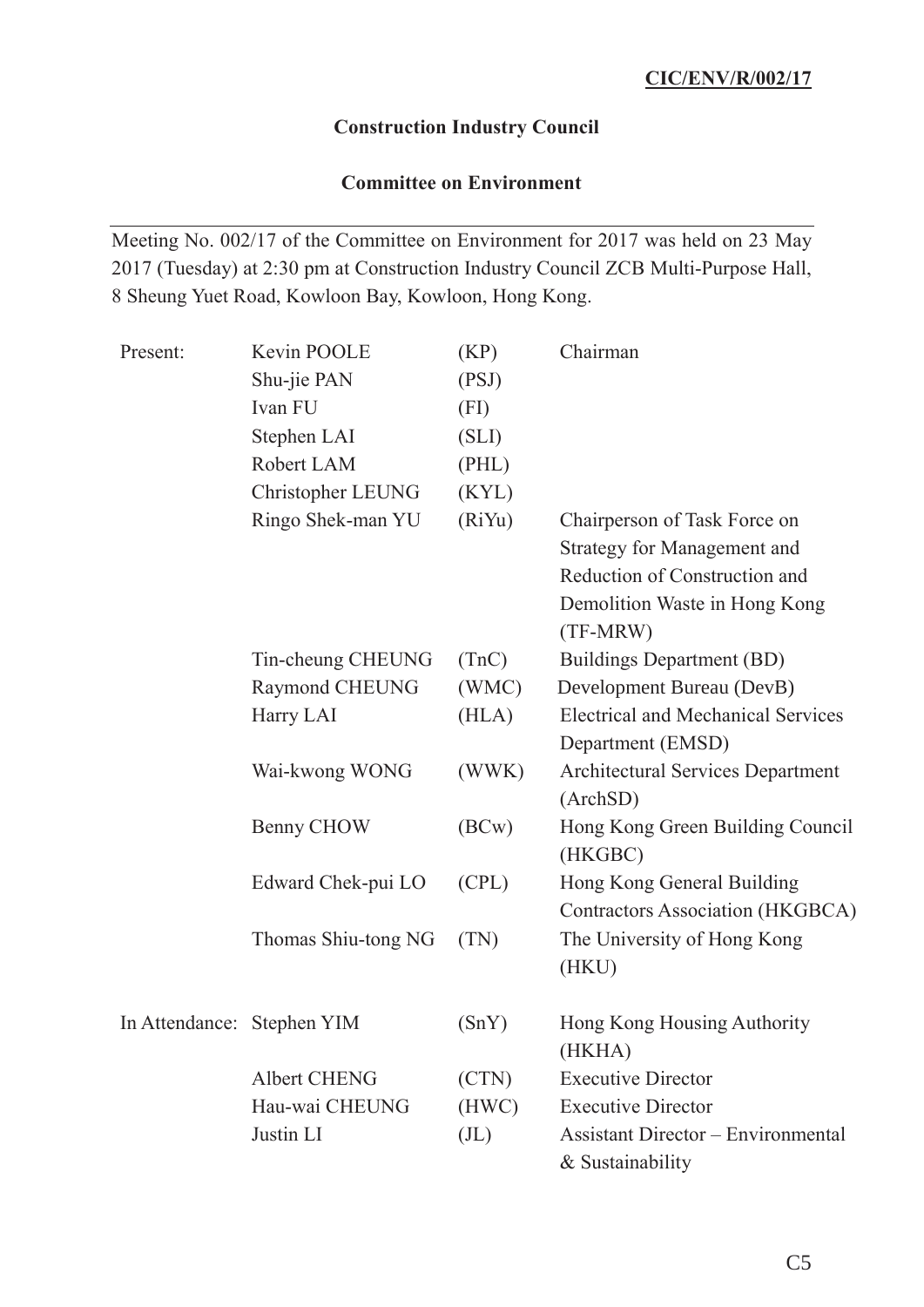### **Construction Industry Council**

## **Committee on Environment**

Meeting No. 002/17 of the Committee on Environment for 2017 was held on 23 May 2017 (Tuesday) at 2:30 pm at Construction Industry Council ZCB Multi-Purpose Hall, 8 Sheung Yuet Road, Kowloon Bay, Kowloon, Hong Kong.

| Present:                   | Kevin POOLE         | (KP)              | Chairman                                    |
|----------------------------|---------------------|-------------------|---------------------------------------------|
|                            | Shu-jie PAN         | (PSJ)             |                                             |
|                            | Ivan FU             | (FI)              |                                             |
|                            | Stephen LAI         | (SLI)             |                                             |
|                            | Robert LAM          | (PHL)             |                                             |
|                            | Christopher LEUNG   | (KYL)             |                                             |
|                            | Ringo Shek-man YU   | (RiYu)            | Chairperson of Task Force on                |
|                            |                     |                   | <b>Strategy for Management and</b>          |
|                            |                     |                   | Reduction of Construction and               |
|                            |                     |                   | Demolition Waste in Hong Kong<br>(TF-MRW)   |
|                            | Tin-cheung CHEUNG   | (TnC)             | <b>Buildings Department (BD)</b>            |
|                            | Raymond CHEUNG      | (WMC)             | Development Bureau (DevB)                   |
|                            | Harry LAI           | (HLA)             | <b>Electrical and Mechanical Services</b>   |
|                            |                     |                   | Department (EMSD)                           |
|                            | Wai-kwong WONG      | (WWK)             | <b>Architectural Services Department</b>    |
|                            |                     |                   | (ArchSD)                                    |
|                            | Benny CHOW          | (BCW)             | Hong Kong Green Building Council<br>(HKGBC) |
|                            | Edward Chek-pui LO  | (CPL)             | Hong Kong General Building                  |
|                            |                     |                   | <b>Contractors Association (HKGBCA)</b>     |
|                            | Thomas Shiu-tong NG | (TN)              | The University of Hong Kong<br>(HKU)        |
| In Attendance: Stephen YIM |                     | (SnY)             | Hong Kong Housing Authority                 |
|                            |                     |                   | (HKHA)                                      |
|                            | <b>Albert CHENG</b> | (CTN)             | <b>Executive Director</b>                   |
|                            | Hau-wai CHEUNG      | (HWC)             | <b>Executive Director</b>                   |
|                            | Justin LI           | (J <sub>L</sub> ) | <b>Assistant Director – Environmental</b>   |
|                            |                     |                   | & Sustainability                            |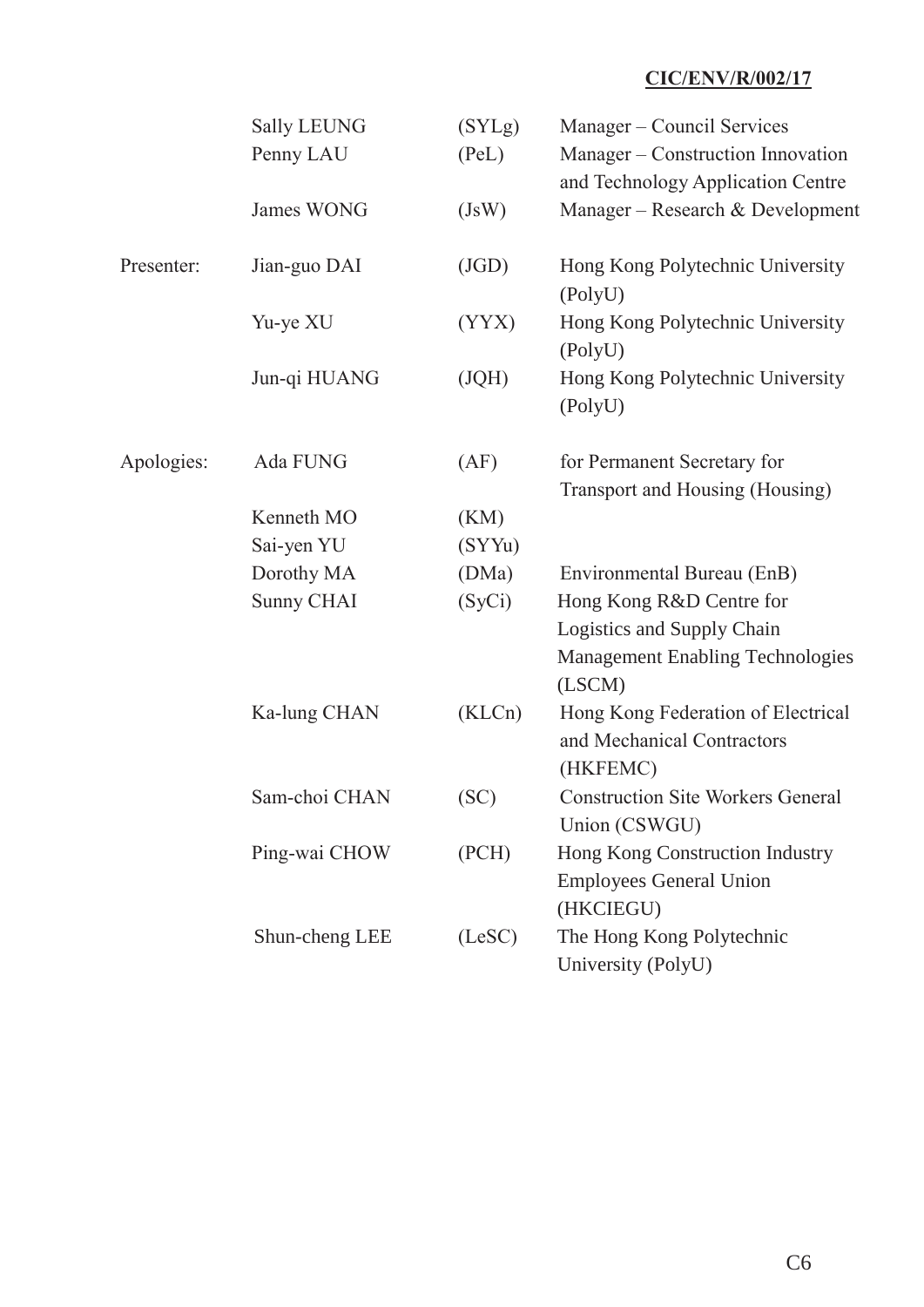|            | <b>Sally LEUNG</b><br>Penny LAU | (SYLg)<br>(PeL) | Manager – Council Services<br>Manager – Construction Innovation<br>and Technology Application Centre |
|------------|---------------------------------|-----------------|------------------------------------------------------------------------------------------------------|
|            | James WONG                      | (JsW)           | Manager – Research & Development                                                                     |
| Presenter: | Jian-guo DAI                    | (JGD)           | Hong Kong Polytechnic University<br>(PolyU)                                                          |
|            | Yu-ye XU                        | (YYX)           | Hong Kong Polytechnic University<br>(PolyU)                                                          |
|            | Jun-qi HUANG                    | (JQH)           | Hong Kong Polytechnic University<br>(PolyU)                                                          |
| Apologies: | Ada FUNG                        | (AF)            | for Permanent Secretary for<br>Transport and Housing (Housing)                                       |
|            | Kenneth MO                      | (KM)            |                                                                                                      |
|            | Sai-yen YU                      | (SYYu)          |                                                                                                      |
|            | Dorothy MA                      | (DMa)           | Environmental Bureau (EnB)                                                                           |
|            | <b>Sunny CHAI</b>               | (SyCi)          | Hong Kong R&D Centre for                                                                             |
|            |                                 |                 | Logistics and Supply Chain                                                                           |
|            |                                 |                 | <b>Management Enabling Technologies</b><br>(LSCM)                                                    |
|            | Ka-lung CHAN                    | (KLCn)          | Hong Kong Federation of Electrical<br>and Mechanical Contractors<br>(HKFEMC)                         |
|            | Sam-choi CHAN                   | (SC)            | <b>Construction Site Workers General</b><br>Union (CSWGU)                                            |
|            | Ping-wai CHOW                   | (PCH)           | Hong Kong Construction Industry<br><b>Employees General Union</b><br>(HKCIEGU)                       |
|            | Shun-cheng LEE                  | (LeSC)          | The Hong Kong Polytechnic<br>University (PolyU)                                                      |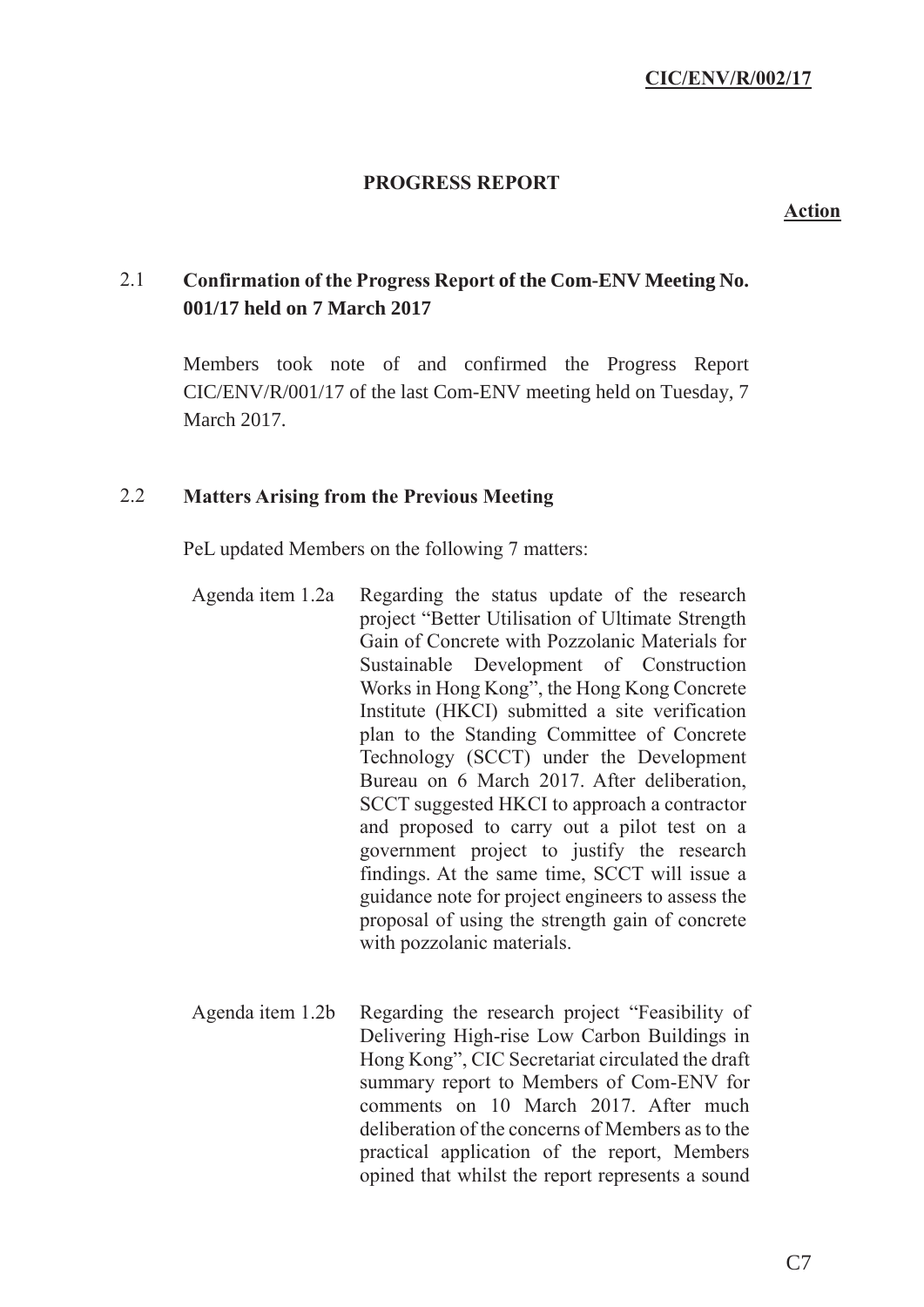## **PROGRESS REPORT**

#### **Action**

# 2.1 **Confirmation of the Progress Report of the Com-ENV Meeting No. 001/17 held on 7 March 2017**

Members took note of and confirmed the Progress Report CIC/ENV/R/001/17 of the last Com-ENV meeting held on Tuesday, 7 March 2017.

#### 2.2 **Matters Arising from the Previous Meeting**

PeL updated Members on the following 7 matters:

- Agenda item 1.2a Regarding the status update of the research project "Better Utilisation of Ultimate Strength Gain of Concrete with Pozzolanic Materials for Sustainable Development of Construction Works in Hong Kong", the Hong Kong Concrete Institute (HKCI) submitted a site verification plan to the Standing Committee of Concrete Technology (SCCT) under the Development Bureau on 6 March 2017. After deliberation, SCCT suggested HKCI to approach a contractor and proposed to carry out a pilot test on a government project to justify the research findings. At the same time, SCCT will issue a guidance note for project engineers to assess the proposal of using the strength gain of concrete with pozzolanic materials.
- Agenda item 1.2b Regarding the research project "Feasibility of Delivering High-rise Low Carbon Buildings in Hong Kong", CIC Secretariat circulated the draft summary report to Members of Com-ENV for comments on 10 March 2017. After much deliberation of the concerns of Members as to the practical application of the report, Members opined that whilst the report represents a sound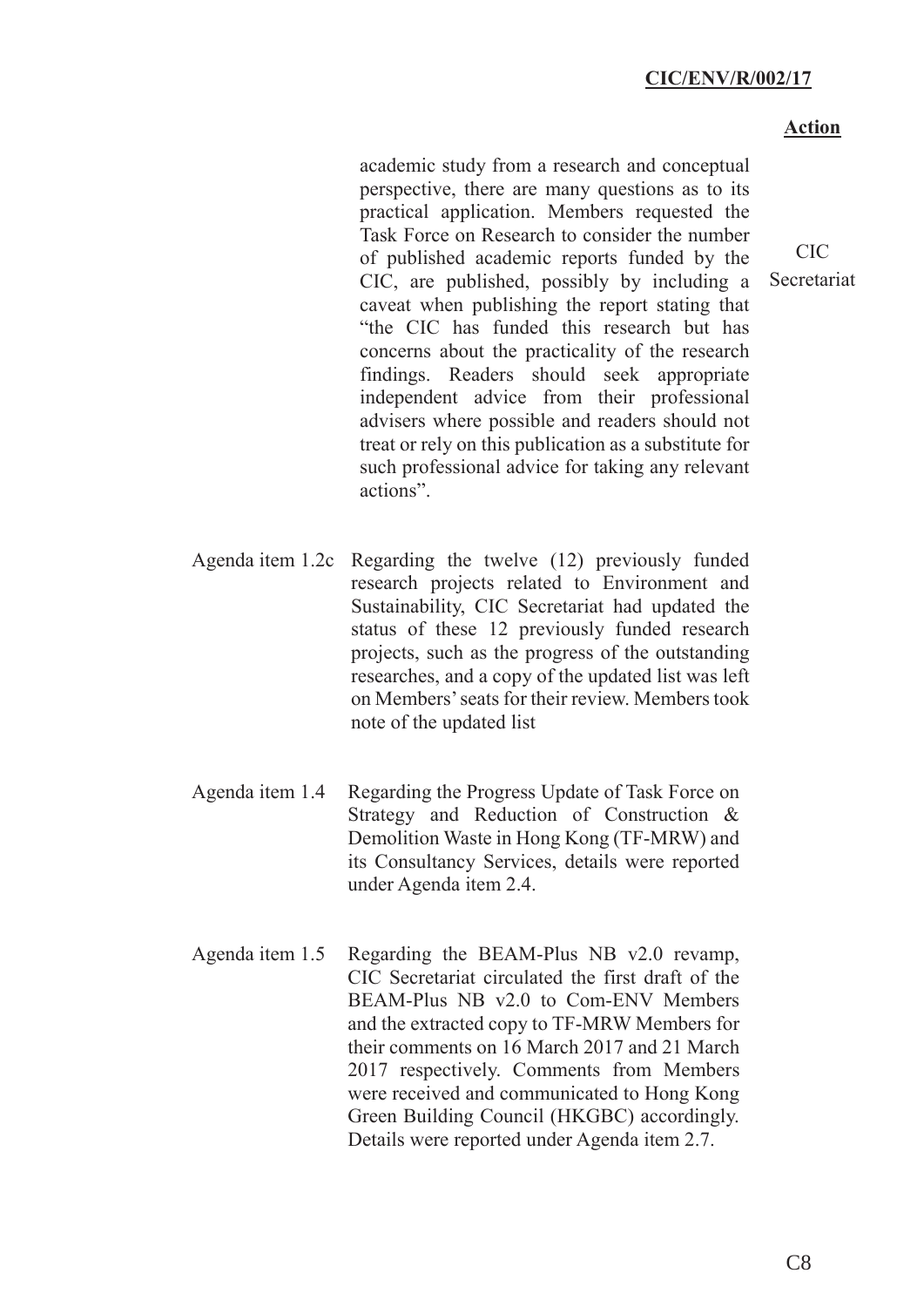#### **Action**

CIC Secretariat

academic study from a research and conceptual perspective, there are many questions as to its practical application. Members requested the Task Force on Research to consider the number of published academic reports funded by the CIC, are published, possibly by including a caveat when publishing the report stating that "the CIC has funded this research but has concerns about the practicality of the research findings. Readers should seek appropriate independent advice from their professional advisers where possible and readers should not treat or rely on this publication as a substitute for such professional advice for taking any relevant actions".

Agenda item 1.2c Regarding the twelve (12) previously funded research projects related to Environment and Sustainability, CIC Secretariat had updated the status of these 12 previously funded research projects, such as the progress of the outstanding researches, and a copy of the updated list was left on Members' seats for their review. Members took note of the updated list

- Agenda item 1.4 Regarding the Progress Update of Task Force on Strategy and Reduction of Construction & Demolition Waste in Hong Kong (TF-MRW) and its Consultancy Services, details were reported under Agenda item 2.4.
- Agenda item 1.5 Regarding the BEAM-Plus NB v2.0 revamp, CIC Secretariat circulated the first draft of the BEAM-Plus NB v2.0 to Com-ENV Members and the extracted copy to TF-MRW Members for their comments on 16 March 2017 and 21 March 2017 respectively. Comments from Members were received and communicated to Hong Kong Green Building Council (HKGBC) accordingly. Details were reported under Agenda item 2.7.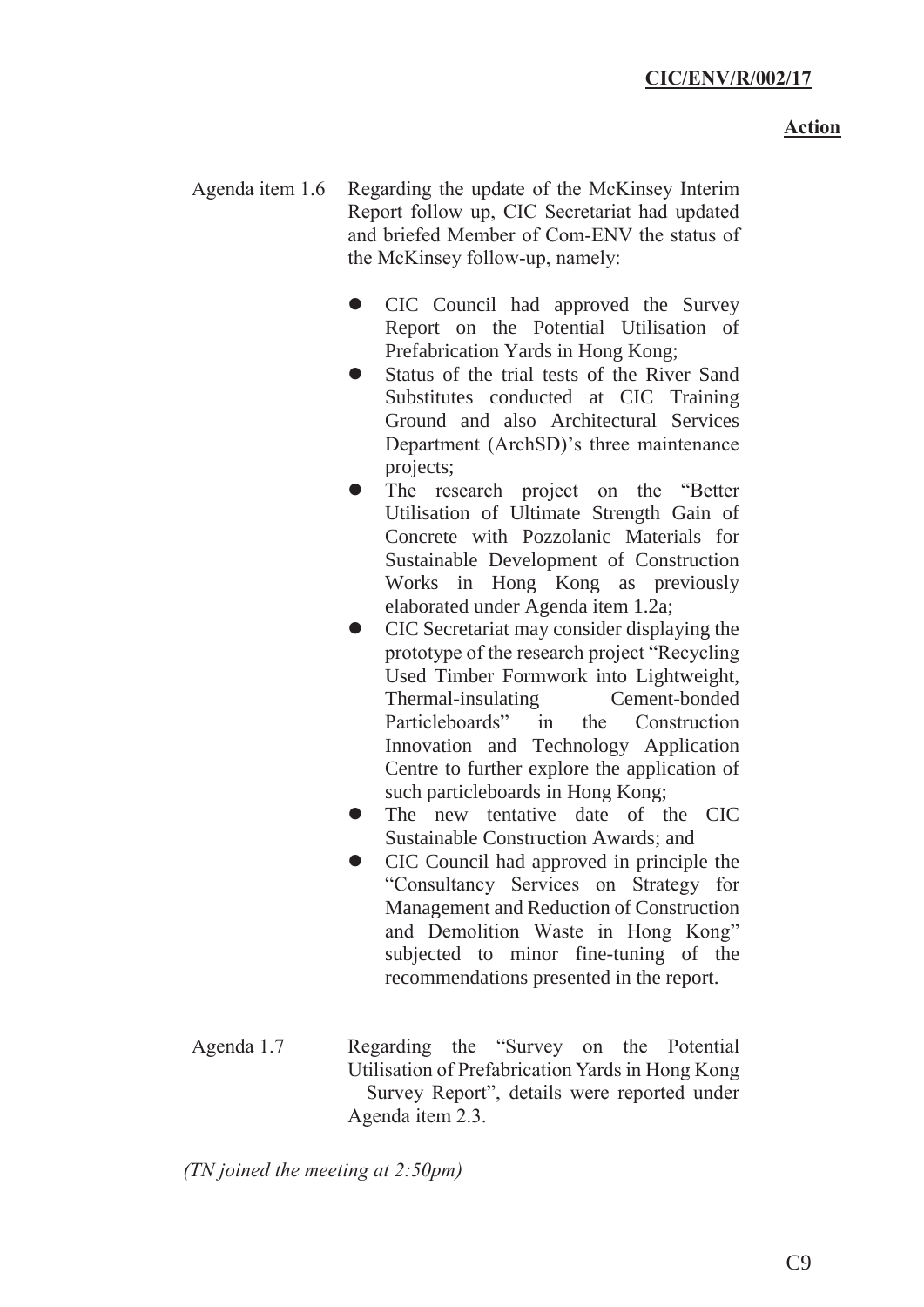## **Action**

- Agenda item 1.6 Regarding the update of the McKinsey Interim Report follow up, CIC Secretariat had updated and briefed Member of Com-ENV the status of the McKinsey follow-up, namely:
	- CIC Council had approved the Survey Report on the Potential Utilisation of Prefabrication Yards in Hong Kong;
	- Status of the trial tests of the River Sand Substitutes conducted at CIC Training Ground and also Architectural Services Department (ArchSD)'s three maintenance projects;
	- The research project on the "Better" Utilisation of Ultimate Strength Gain of Concrete with Pozzolanic Materials for Sustainable Development of Construction Works in Hong Kong as previously elaborated under Agenda item 1.2a;
	- CIC Secretariat may consider displaying the prototype of the research project "Recycling Used Timber Formwork into Lightweight, Thermal-insulating Cement-bonded Particleboards" in the Construction Innovation and Technology Application Centre to further explore the application of such particleboards in Hong Kong;
	- The new tentative date of the CIC Sustainable Construction Awards; and
	- z CIC Council had approved in principle the "Consultancy Services on Strategy for Management and Reduction of Construction and Demolition Waste in Hong Kong" subjected to minor fine-tuning of the recommendations presented in the report.
- Agenda 1.7 Regarding the "Survey on the Potential Utilisation of Prefabrication Yards in Hong Kong – Survey Report", details were reported under Agenda item 2.3.

*(TN joined the meeting at 2:50pm)*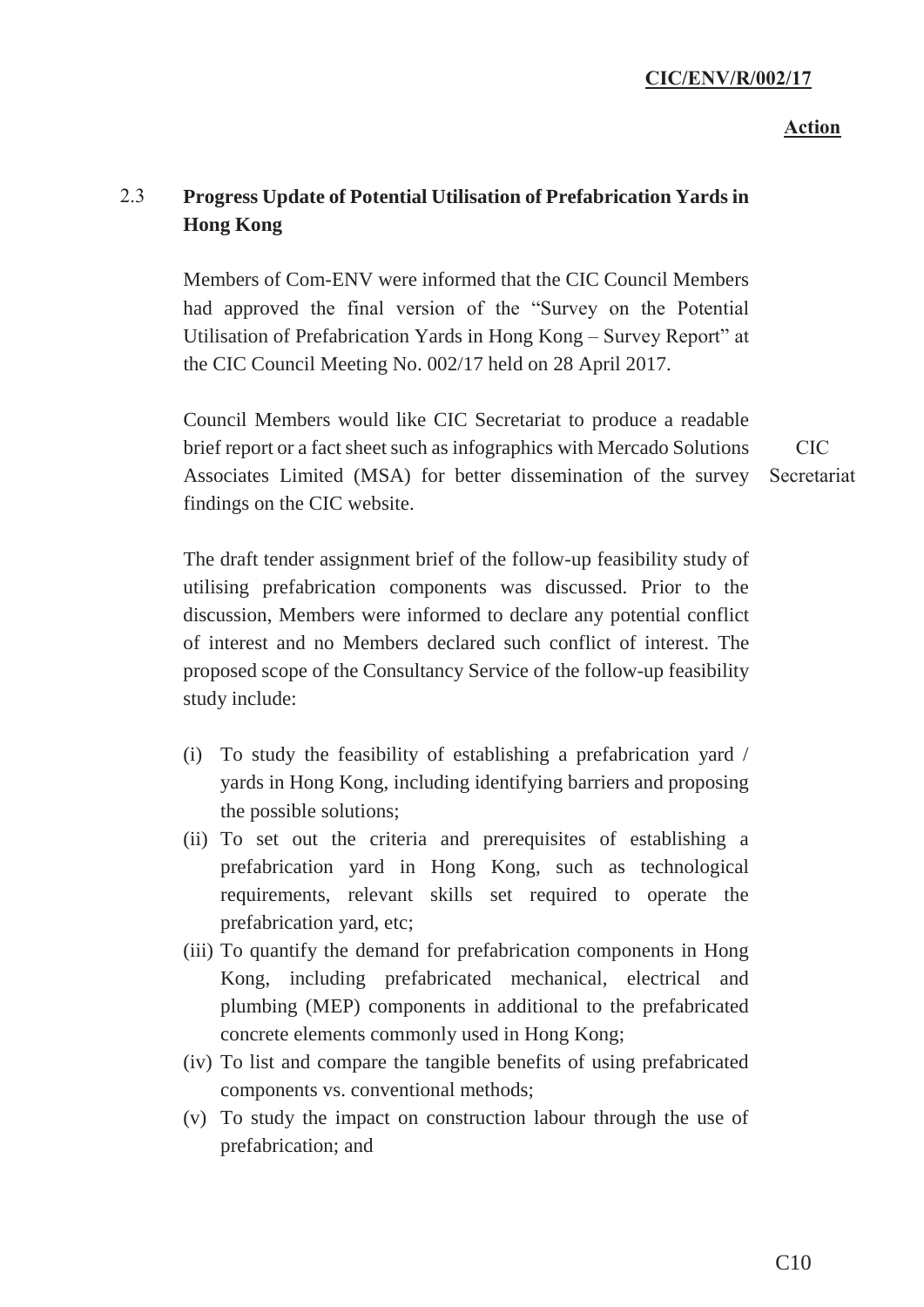#### **Action**

# 2.3 **Progress Update of Potential Utilisation of Prefabrication Yards in Hong Kong**

Members of Com-ENV were informed that the CIC Council Members had approved the final version of the "Survey on the Potential Utilisation of Prefabrication Yards in Hong Kong – Survey Report" at the CIC Council Meeting No. 002/17 held on 28 April 2017.

Council Members would like CIC Secretariat to produce a readable brief report or a fact sheet such as infographics with Mercado Solutions Associates Limited (MSA) for better dissemination of the survey Secretariat findings on the CIC website. CIC

The draft tender assignment brief of the follow-up feasibility study of utilising prefabrication components was discussed. Prior to the discussion, Members were informed to declare any potential conflict of interest and no Members declared such conflict of interest. The proposed scope of the Consultancy Service of the follow-up feasibility study include:

- (i) To study the feasibility of establishing a prefabrication yard / yards in Hong Kong, including identifying barriers and proposing the possible solutions;
- (ii) To set out the criteria and prerequisites of establishing a prefabrication yard in Hong Kong, such as technological requirements, relevant skills set required to operate the prefabrication yard, etc;
- (iii) To quantify the demand for prefabrication components in Hong Kong, including prefabricated mechanical, electrical and plumbing (MEP) components in additional to the prefabricated concrete elements commonly used in Hong Kong;
- (iv) To list and compare the tangible benefits of using prefabricated components vs. conventional methods;
- (v) To study the impact on construction labour through the use of prefabrication; and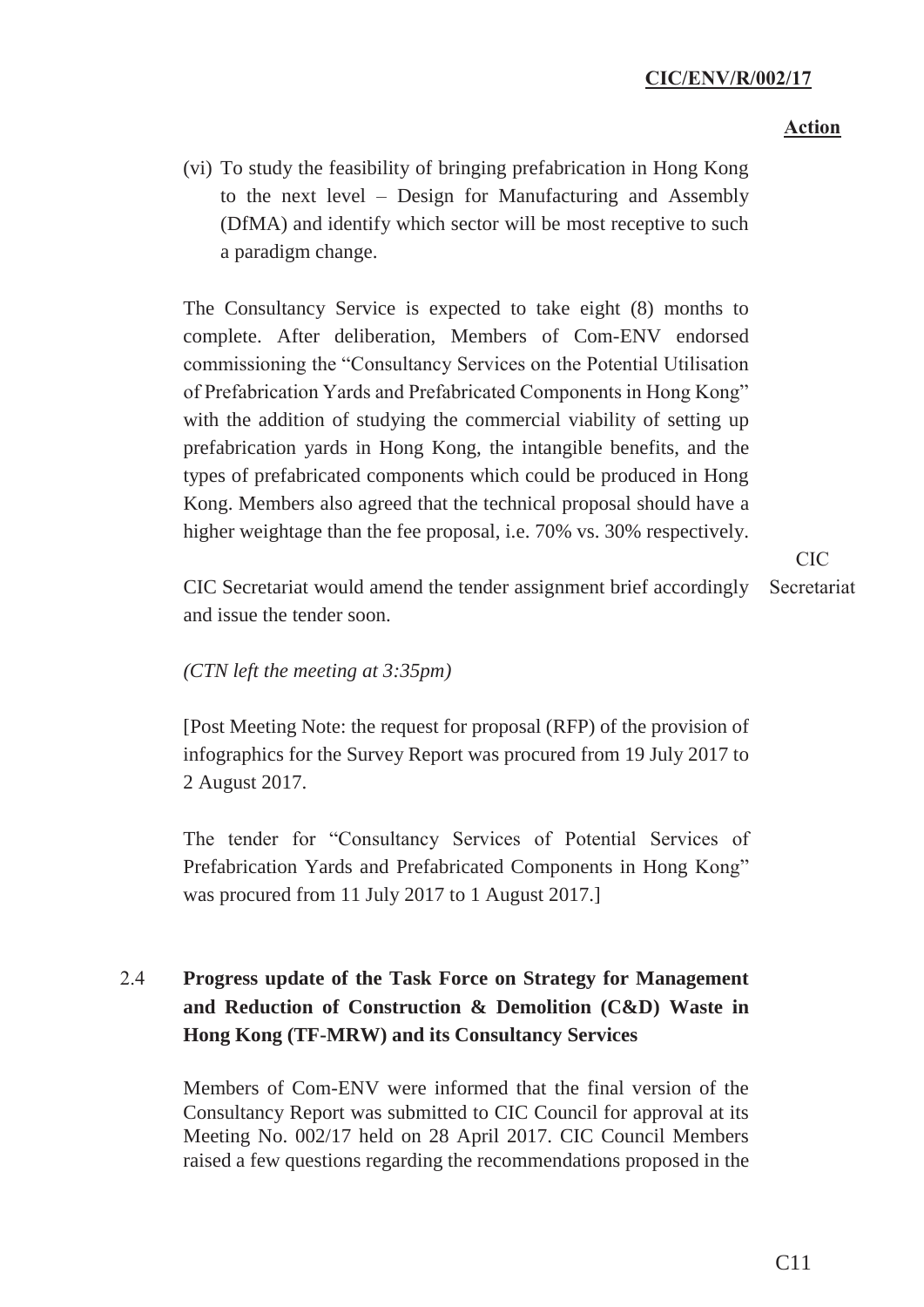### **Action**

(vi) To study the feasibility of bringing prefabrication in Hong Kong to the next level – Design for Manufacturing and Assembly (DfMA) and identify which sector will be most receptive to such a paradigm change.

The Consultancy Service is expected to take eight (8) months to complete. After deliberation, Members of Com-ENV endorsed commissioning the "Consultancy Services on the Potential Utilisation of Prefabrication Yards and Prefabricated Components in Hong Kong" with the addition of studying the commercial viability of setting up prefabrication yards in Hong Kong, the intangible benefits, and the types of prefabricated components which could be produced in Hong Kong. Members also agreed that the technical proposal should have a higher weightage than the fee proposal, i.e. 70% vs. 30% respectively.

> CIC Secretariat

CIC Secretariat would amend the tender assignment brief accordingly and issue the tender soon.

### *(CTN left the meeting at 3:35pm)*

[Post Meeting Note: the request for proposal (RFP) of the provision of infographics for the Survey Report was procured from 19 July 2017 to 2 August 2017.

The tender for "Consultancy Services of Potential Services of Prefabrication Yards and Prefabricated Components in Hong Kong" was procured from 11 July 2017 to 1 August 2017.]

# 2.4 **Progress update of the Task Force on Strategy for Management and Reduction of Construction & Demolition (C&D) Waste in Hong Kong (TF-MRW) and its Consultancy Services**

Members of Com-ENV were informed that the final version of the Consultancy Report was submitted to CIC Council for approval at its Meeting No. 002/17 held on 28 April 2017. CIC Council Members raised a few questions regarding the recommendations proposed in the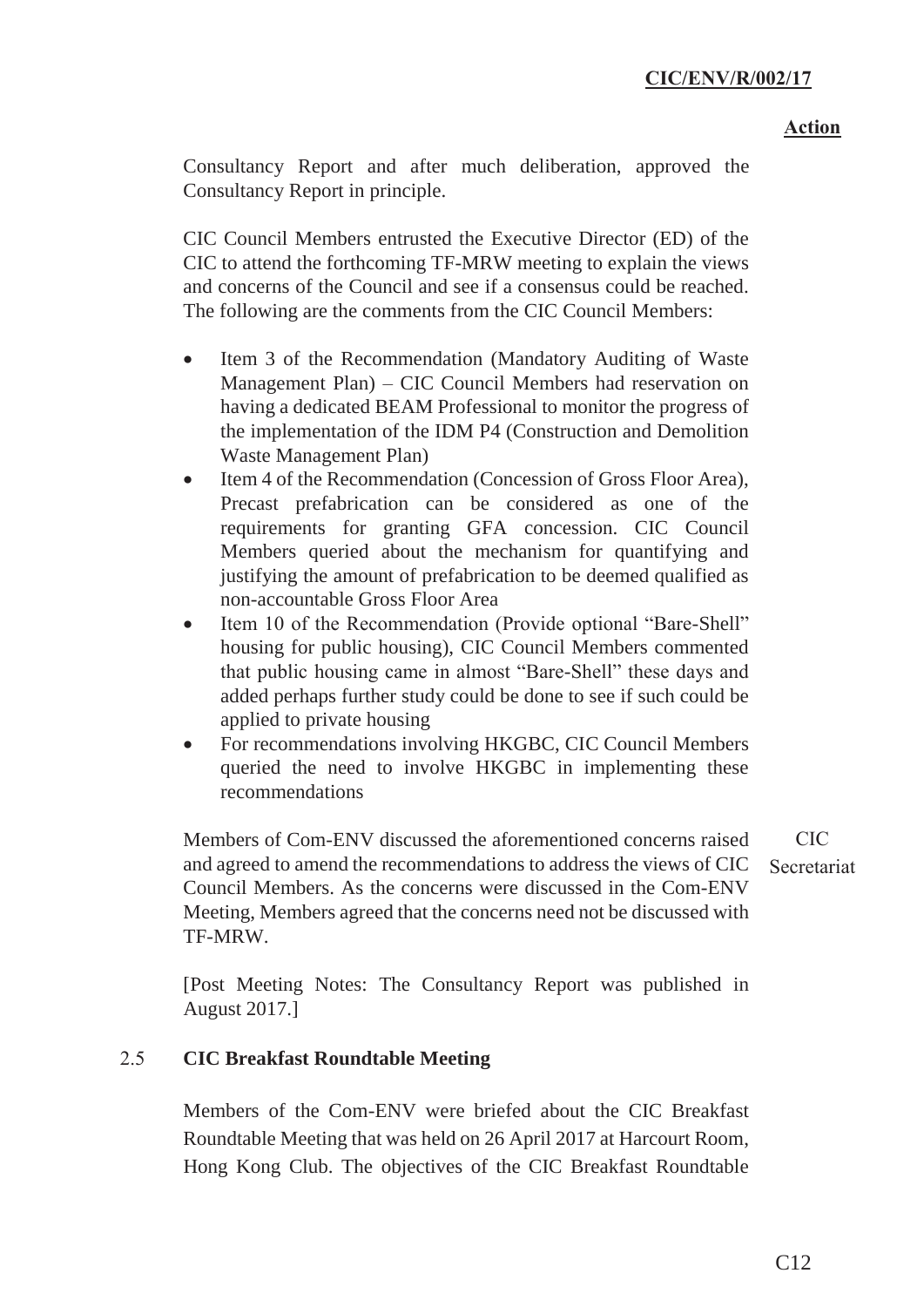Consultancy Report and after much deliberation, approved the Consultancy Report in principle.

CIC Council Members entrusted the Executive Director (ED) of the CIC to attend the forthcoming TF-MRW meeting to explain the views and concerns of the Council and see if a consensus could be reached. The following are the comments from the CIC Council Members:

- Item 3 of the Recommendation (Mandatory Auditing of Waste Management Plan) – CIC Council Members had reservation on having a dedicated BEAM Professional to monitor the progress of the implementation of the IDM P4 (Construction and Demolition Waste Management Plan)
- Item 4 of the Recommendation (Concession of Gross Floor Area), Precast prefabrication can be considered as one of the requirements for granting GFA concession. CIC Council Members queried about the mechanism for quantifying and justifying the amount of prefabrication to be deemed qualified as non-accountable Gross Floor Area
- Item 10 of the Recommendation (Provide optional "Bare-Shell" housing for public housing), CIC Council Members commented that public housing came in almost "Bare-Shell" these days and added perhaps further study could be done to see if such could be applied to private housing
- For recommendations involving HKGBC, CIC Council Members queried the need to involve HKGBC in implementing these recommendations

Members of Com-ENV discussed the aforementioned concerns raised and agreed to amend the recommendations to address the views of CIC Council Members. As the concerns were discussed in the Com-ENV Meeting, Members agreed that the concerns need not be discussed with TF-MRW. CIC Secretariat

[Post Meeting Notes: The Consultancy Report was published in August 2017.]

# 2.5 **CIC Breakfast Roundtable Meeting**

Members of the Com-ENV were briefed about the CIC Breakfast Roundtable Meeting that was held on 26 April 2017 at Harcourt Room, Hong Kong Club. The objectives of the CIC Breakfast Roundtable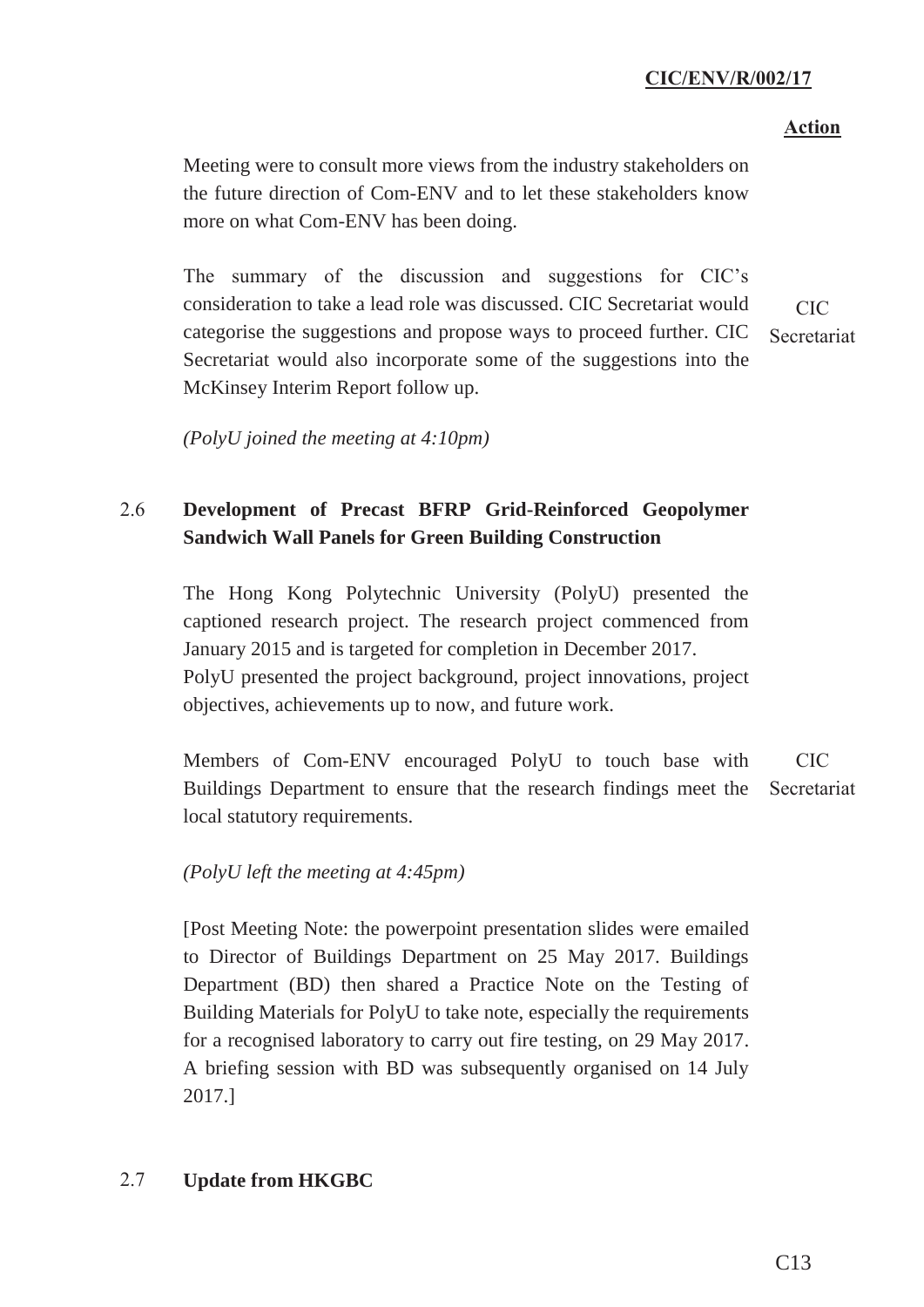#### **Action**

Meeting were to consult more views from the industry stakeholders on the future direction of Com-ENV and to let these stakeholders know more on what Com-ENV has been doing.

The summary of the discussion and suggestions for CIC's consideration to take a lead role was discussed. CIC Secretariat would categorise the suggestions and propose ways to proceed further. CIC Secretariat would also incorporate some of the suggestions into the McKinsey Interim Report follow up. CIC Secretariat

*(PolyU joined the meeting at 4:10pm)*

# 2.6 **Development of Precast BFRP Grid-Reinforced Geopolymer Sandwich Wall Panels for Green Building Construction**

The Hong Kong Polytechnic University (PolyU) presented the captioned research project. The research project commenced from January 2015 and is targeted for completion in December 2017. PolyU presented the project background, project innovations, project objectives, achievements up to now, and future work.

Members of Com-ENV encouraged PolyU to touch base with Buildings Department to ensure that the research findings meet the local statutory requirements. CIC **Secretariat** 

# *(PolyU left the meeting at 4:45pm)*

[Post Meeting Note: the powerpoint presentation slides were emailed to Director of Buildings Department on 25 May 2017. Buildings Department (BD) then shared a Practice Note on the Testing of Building Materials for PolyU to take note, especially the requirements for a recognised laboratory to carry out fire testing, on 29 May 2017. A briefing session with BD was subsequently organised on 14 July 2017.]

# 2.7 **Update from HKGBC**